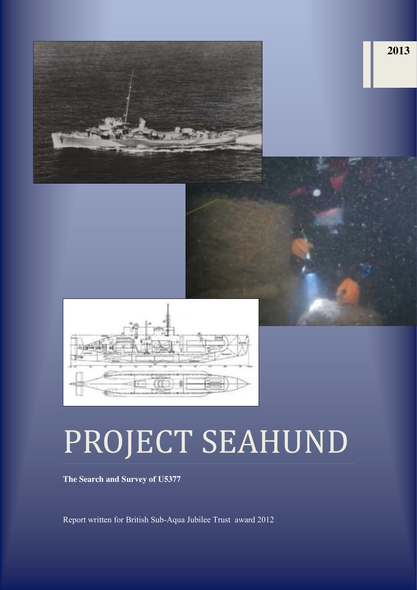

# PROJECT SEAHUND

**The Search and Survey of U5377**

Report written for British Sub-Aqua Jubilee Trust award 2012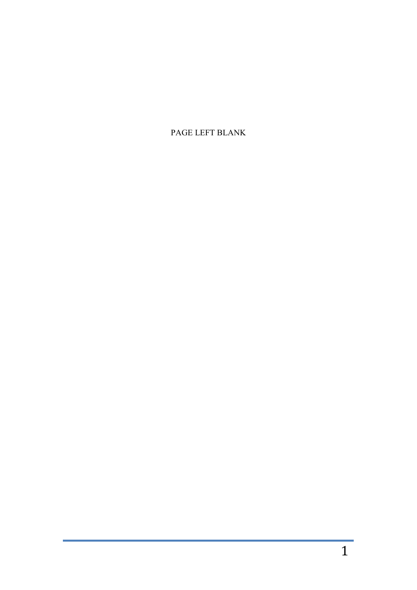PAGE LEFT BLANK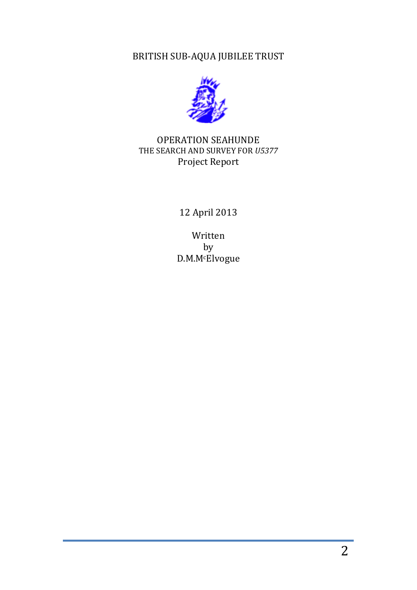BRITISH SUB-AQUA JUBILEE TRUST



#### OPERATION SEAHUNDE THE SEARCH AND SURVEY FOR *U5377* Project Report

12 April 2013

Written by D.M.McElvogue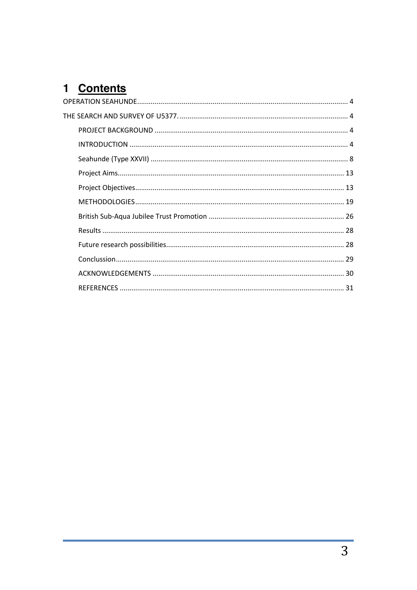#### 1 Contents  $\circ$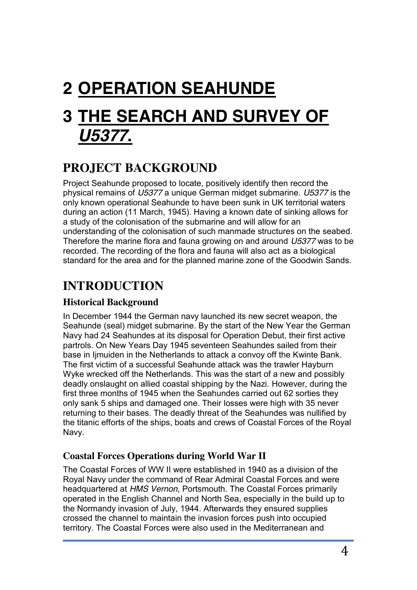## **2 OPERATION SEAHUNDE**

### **3 THE SEARCH AND SURVEY OF**  *U5377***.**

### **PROJECT BACKGROUND**

Project Seahunde proposed to locate, positively identify then record the physical remains of *U5377* a unique German midget submarine. *U5377* is the only known operational Seahunde to have been sunk in UK territorial waters during an action (11 March, 1945). Having a known date of sinking allows for a study of the colonisation of the submarine and will allow for an understanding of the colonisation of such manmade structures on the seabed. Therefore the marine flora and fauna growing on and around *U5377* was to be recorded. The recording of the flora and fauna will also act as a biological standard for the area and for the planned marine zone of the Goodwin Sands.

### **INTRODUCTION**

#### **Historical Background**

In December 1944 the German navy launched its new secret weapon, the Seahunde (seal) midget submarine. By the start of the New Year the German Navy had 24 Seahundes at its disposal for Operation Debut, their first active partrols. On New Years Day 1945 seventeen Seahundes sailed from their base in Ijmuiden in the Netherlands to attack a convoy off the Kwinte Bank. The first victim of a successful Seahunde attack was the trawler Hayburn Wyke wrecked off the Netherlands. This was the start of a new and possibly deadly onslaught on allied coastal shipping by the Nazi. However, during the first three months of 1945 when the Seahundes carried out 62 sorties they only sank 5 ships and damaged one. Their losses were high with 35 never returning to their bases. The deadly threat of the Seahundes was nullified by the titanic efforts of the ships, boats and crews of Coastal Forces of the Royal Navy.

#### **Coastal Forces Operations during World War II**

The Coastal Forces of WW II were established in 1940 as a division of the Royal Navy under the command of Rear Admiral Coastal Forces and were headquartered at *HMS Vernon*, Portsmouth. The Coastal Forces primarily operated in the English Channel and North Sea, especially in the build up to the Normandy invasion of July, 1944. Afterwards they ensured supplies crossed the channel to maintain the invasion forces push into occupied territory. The Coastal Forces were also used in the Mediterranean and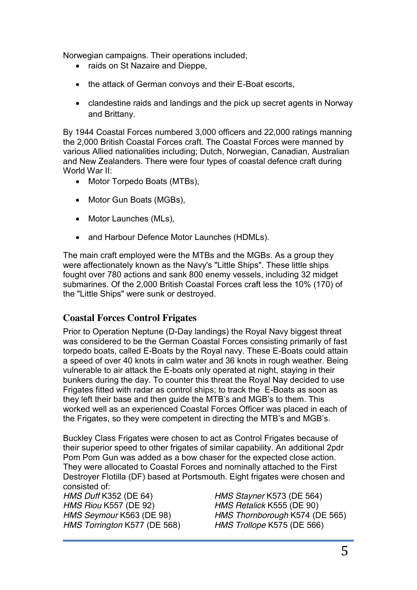Norwegian campaigns. Their operations included;

- raids on St Nazaire and Dieppe,
- the attack of German convoys and their E-Boat escorts,
- clandestine raids and landings and the pick up secret agents in Norway and Brittany.

By 1944 Coastal Forces numbered 3,000 officers and 22,000 ratings manning the 2,000 British Coastal Forces craft. The Coastal Forces were manned by various Allied nationalities including; Dutch, Norwegian, Canadian, Australian and New Zealanders. There were four types of coastal defence craft during World War II:

- Motor Torpedo Boats (MTBs).
- Motor Gun Boats (MGBs),
- Motor Launches (MLs),
- and Harbour Defence Motor Launches (HDMLs).

The main craft employed were the MTBs and the MGBs. As a group they were affectionately known as the Navy's "Little Ships". These little ships fought over 780 actions and sank 800 enemy vessels, including 32 midget submarines. Of the 2,000 British Coastal Forces craft less the 10% (170) of the "Little Ships" were sunk or destroyed.

#### **Coastal Forces Control Frigates**

Prior to Operation Neptune (D-Day landings) the Royal Navy biggest threat was considered to be the German Coastal Forces consisting primarily of fast torpedo boats, called E-Boats by the Royal navy. These E-Boats could attain a speed of over 40 knots in calm water and 36 knots in rough weather. Being vulnerable to air attack the E-boats only operated at night, staying in their bunkers during the day. To counter this threat the Royal Nay decided to use Frigates fitted with radar as control ships; to track the E-Boats as soon as they left their base and then guide the MTB's and MGB's to them. This worked well as an experienced Coastal Forces Officer was placed in each of the Frigates, so they were competent in directing the MTB's and MGB's.

Buckley Class Frigates were chosen to act as Control Frigates because of their superior speed to other frigates of similar capability. An additional 2pdr Pom Pom Gun was added as a bow chaser for the expected close action. They were allocated to Coastal Forces and nominally attached to the First Destroyer Flotilla (DF) based at Portsmouth. Eight frigates were chosen and consisted of:

*HMS Duff* K352 (DE 64) *HMS Stayner* K573 (DE 564) *HMS Riou* K557 (DE 92) *HMS Retalick* K555 (DE 90) *HMS Torrington* K577 (DE 568) *HMS Trollope* K575 (DE 566)

*HMS Thornborough K574 (DE 565)*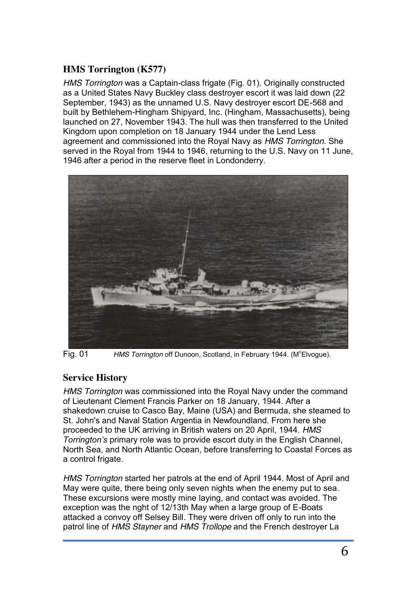#### **HMS Torrington (K577)**

*HMS Torrington* was a Captain-class frigate (Fig. 01). Originally constructed as a United States Navy Buckley class destroyer escort it was laid down (22 September, 1943) as the unnamed U.S. Navy destroyer escort DE-568 and built by Bethlehem-Hingham Shipyard, Inc. (Hingham, Massachusetts), being launched on 27, November 1943. The hull was then transferred to the United Kingdom upon completion on 18 January 1944 under the Lend Less agreement and commissioned into the Royal Navy as *HMS Torrington*. She served in the Royal from 1944 to 1946, returning to the U.S. Navy on 11 June, 1946 after a period in the reserve fleet in Londonderry.



Fig. 01 HMS Torrington off Dunoon, Scotland, in February 1944. (M<sup>c</sup>Elvogue).

#### **Service History**

*HMS Torrington* was commissioned into the Royal Navy under the command of Lieutenant Clement Francis Parker on 18 January, 1944. After a shakedown cruise to Casco Bay, Maine (USA) and Bermuda, she steamed to St. John's and Naval Station Argentia in Newfoundland. From here she proceeded to the UK arriving in British waters on 20 April, 1944. *HMS*  Torrington's primary role was to provide escort duty in the English Channel, North Sea, and North Atlantic Ocean, before transferring to Coastal Forces as a control frigate.

*HMS Torrington* started her patrols at the end of April 1944. Most of April and May were quite, there being only seven nights when the enemy put to sea. These excursions were mostly mine laying, and contact was avoided. The exception was the nght of 12/13th May when a large group of E-Boats attacked a convoy off Selsey Bill. They were driven off only to run into the patrol line of *HMS Stayner* and *HMS Trollope* and the French destroyer La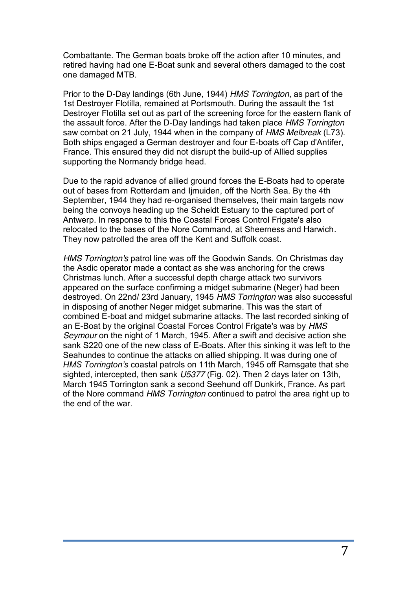Combattante. The German boats broke off the action after 10 minutes, and retired having had one E-Boat sunk and several others damaged to the cost one damaged MTB.

Prior to the D-Day landings (6th June, 1944) *HMS Torrington*, as part of the 1st Destroyer Flotilla, remained at Portsmouth. During the assault the 1st Destroyer Flotilla set out as part of the screening force for the eastern flank of the assault force. After the D-Day landings had taken place *HMS Torrington* saw combat on 21 July, 1944 when in the company of *HMS Melbreak* (L73). Both ships engaged a German destroyer and four E-boats off Cap d'Antifer, France. This ensured they did not disrupt the build-up of Allied supplies supporting the Normandy bridge head.

Due to the rapid advance of allied ground forces the E-Boats had to operate out of bases from Rotterdam and Ijmuiden, off the North Sea. By the 4th September, 1944 they had re-organised themselves, their main targets now being the convoys heading up the Scheldt Estuary to the captured port of Antwerp. In response to this the Coastal Forces Control Frigate's also relocated to the bases of the Nore Command, at Sheerness and Harwich. They now patrolled the area off the Kent and Suffolk coast.

*HMS Torrington's* patrol line was off the Goodwin Sands. On Christmas day the Asdic operator made a contact as she was anchoring for the crews Christmas lunch. After a successful depth charge attack two survivors appeared on the surface confirming a midget submarine (Neger) had been destroyed. On 22nd/ 23rd January, 1945 *HMS Torrington* was also successful in disposing of another Neger midget submarine. This was the start of combined E-boat and midget submarine attacks. The last recorded sinking of an E-Boat by the original Coastal Forces Control Frigate's was by *HMS Seymour* on the night of 1 March, 1945. After a swift and decisive action she sank S220 one of the new class of E-Boats. After this sinking it was left to the Seahundes to continue the attacks on allied shipping. It was during one of HMS Torrington's coastal patrols on 11th March, 1945 off Ramsgate that she sighted, intercepted, then sank *U5377* (Fig. 02). Then 2 days later on 13th, March 1945 Torrington sank a second Seehund off Dunkirk, France. As part of the Nore command *HMS Torrington* continued to patrol the area right up to the end of the war.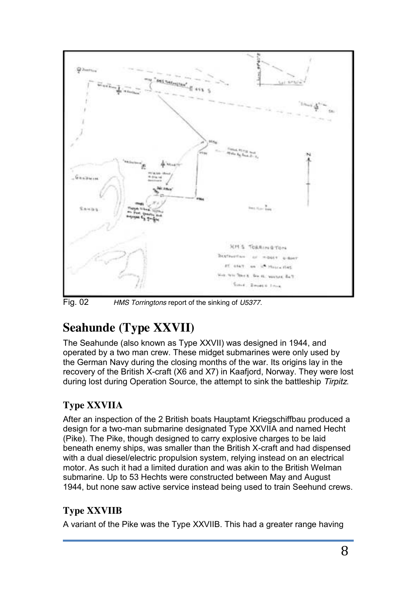

Fig. 02 *HMS Torringtons* report of the sinking of *U5377*.

### **Seahunde (Type XXVII)**

The Seahunde (also known as Type XXVII) was designed in 1944, and operated by a two man crew. These midget submarines were only used by the German Navy during the closing months of the war. Its origins lay in the recovery of the British X-craft (X6 and X7) in Kaafjord, Norway. They were lost during lost during Operation Source, the attempt to sink the battleship *Tirpitz*.

### **Type XXVIIA**

After an inspection of the 2 British boats Hauptamt Kriegschiffbau produced a design for a two-man submarine designated Type XXVIIA and named Hecht (Pike). The Pike, though designed to carry explosive charges to be laid beneath enemy ships, was smaller than the British X-craft and had dispensed with a dual diesel/electric propulsion system, relying instead on an electrical motor. As such it had a limited duration and was akin to the British Welman submarine. Up to 53 Hechts were constructed between May and August 1944, but none saw active service instead being used to train Seehund crews.

### **Type XXVIIB**

A variant of the Pike was the Type XXVIIB. This had a greater range having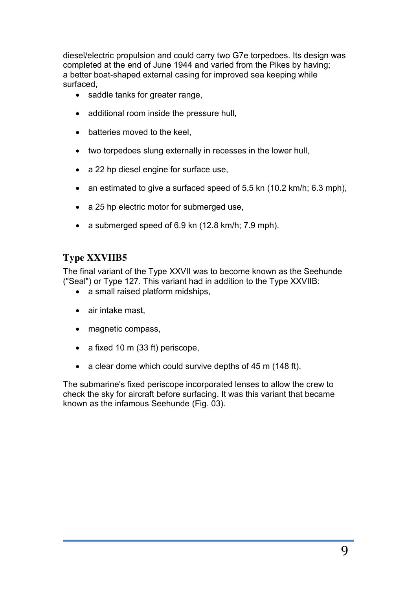diesel/electric propulsion and could carry two G7e torpedoes. Its design was completed at the end of June 1944 and varied from the Pikes by having; a better boat-shaped external casing for improved sea keeping while surfaced,

- saddle tanks for greater range,
- additional room inside the pressure hull,
- $\bullet$  batteries moved to the keel,
- two torpedoes slung externally in recesses in the lower hull.
- a 22 hp diesel engine for surface use,
- an estimated to give a surfaced speed of  $5.5$  kn (10.2 km/h;  $6.3$  mph),
- a 25 hp electric motor for submerged use,
- a submerged speed of  $6.9$  kn (12.8 km/h;  $7.9$  mph).

#### **Type XXVIIB5**

The final variant of the Type XXVII was to become known as the Seehunde ("Seal") or Type 127. This variant had in addition to the Type XXVIIB:

- a small raised platform midships.
- $\bullet$  air intake mast,
- magnetic compass,
- a fixed 10 m  $(33 ft)$  periscope,
- $\bullet$  a clear dome which could survive depths of 45 m (148 ft).

The submarine's fixed periscope incorporated lenses to allow the crew to check the sky for aircraft before surfacing. It was this variant that became known as the infamous Seehunde (Fig. 03).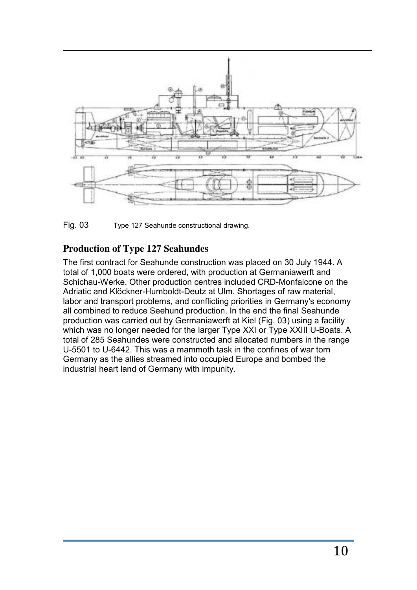

**Production of Type 127 Seahundes** 

The first contract for Seahunde construction was placed on 30 July 1944. A total of 1,000 boats were ordered, with production at Germaniawerft and Schichau-Werke. Other production centres included CRD-Monfalcone on the Adriatic and Klöckner-Humboldt-Deutz at Ulm. Shortages of raw material, labor and transport problems, and conflicting priorities in Germany's economy all combined to reduce Seehund production. In the end the final Seahunde production was carried out by Germaniawerft at Kiel (Fig. 03) using a facility which was no longer needed for the larger Type XXI or Type XXIII U-Boats. A total of 285 Seahundes were constructed and allocated numbers in the range U-5501 to U-6442. This was a mammoth task in the confines of war torn Germany as the allies streamed into occupied Europe and bombed the industrial heart land of Germany with impunity.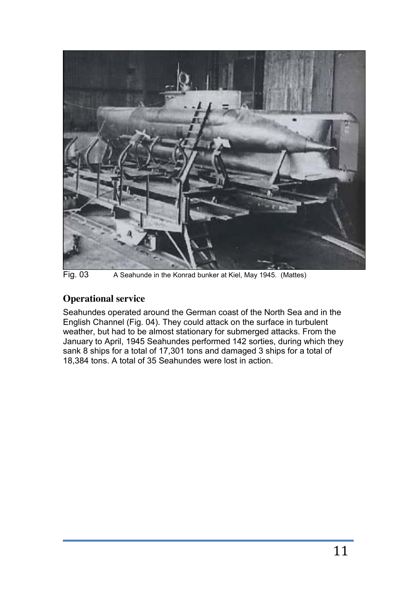

Fig. 03 A Seahunde in the Konrad bunker at Kiel, May 1945. (Mattes)

#### **Operational service**

Seahundes operated around the German coast of the North Sea and in the English Channel (Fig. 04). They could attack on the surface in turbulent weather, but had to be almost stationary for submerged attacks. From the January to April, 1945 Seahundes performed 142 sorties, during which they sank 8 ships for a total of 17,301 tons and damaged 3 ships for a total of 18,384 tons. A total of 35 Seahundes were lost in action.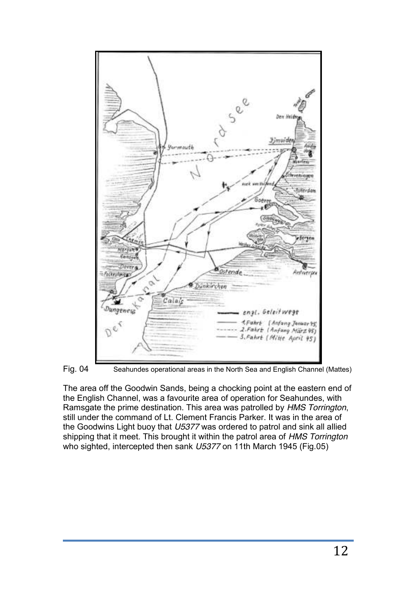

Fig. 04 Seahundes operational areas in the North Sea and English Channel (Mattes)

The area off the Goodwin Sands, being a chocking point at the eastern end of the English Channel, was a favourite area of operation for Seahundes, with Ramsgate the prime destination. This area was patrolled by *HMS Torrington*, still under the command of Lt. Clement Francis Parker. It was in the area of the Goodwins Light buoy that *U5377* was ordered to patrol and sink all allied shipping that it meet. This brought it within the patrol area of *HMS Torrington* who sighted, intercepted then sank *U5377* on 11th March 1945 (Fig.05)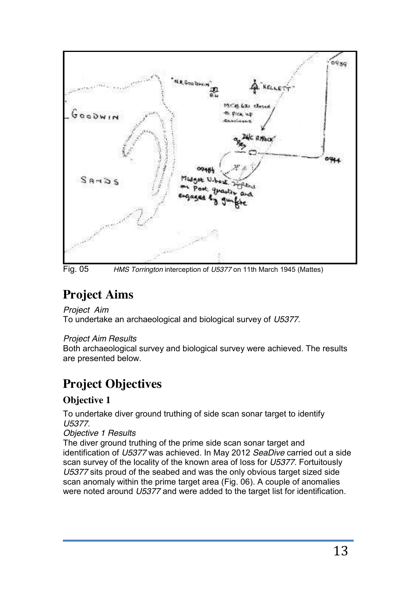

Fig. 05 *HMS Torrington* interception of *U5377* on 11th March 1945 (Mattes)

### **Project Aims**

#### *Project Aim*

To undertake an archaeological and biological survey of *U5377*.

#### *Project Aim Results*

Both archaeological survey and biological survey were achieved. The results are presented below.

### **Project Objectives**

### **Objective 1**

To undertake diver ground truthing of side scan sonar target to identify *U5377*.

#### *Objective 1 Results*

The diver ground truthing of the prime side scan sonar target and identification of *U5377* was achieved. In May 2012 *SeaDive* carried out a side scan survey of the locality of the known area of loss for *U5377*. Fortuitously *U5377* sits proud of the seabed and was the only obvious target sized side scan anomaly within the prime target area (Fig. 06). A couple of anomalies were noted around *U5377* and were added to the target list for identification.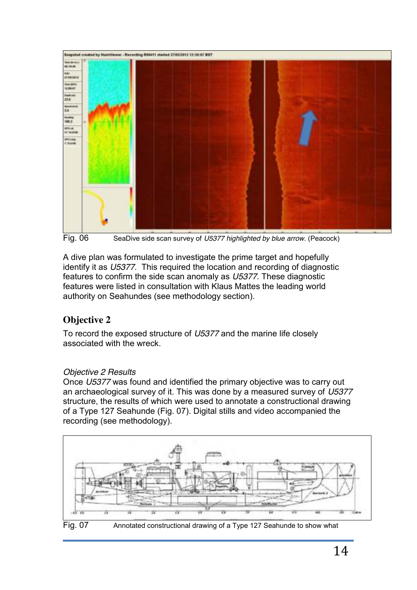

Fig. 06 SeaDive side scan survey of *U5377 highlighted by blue arrow.* (Peacock)

A dive plan was formulated to investigate the prime target and hopefully identify it as *U5377*. This required the location and recording of diagnostic features to confirm the side scan anomaly as *U5377*. These diagnostic features were listed in consultation with Klaus Mattes the leading world authority on Seahundes (see methodology section).

#### **Objective 2**

To record the exposed structure of *U5377* and the marine life closely associated with the wreck.

#### *Objective 2 Results*

Once *U5377* was found and identified the primary objective was to carry out an archaeological survey of it. This was done by a measured survey of *U5377* structure, the results of which were used to annotate a constructional drawing of a Type 127 Seahunde (Fig. 07). Digital stills and video accompanied the recording (see methodology).



Fig. 07 Annotated constructional drawing of a Type 127 Seahunde to show what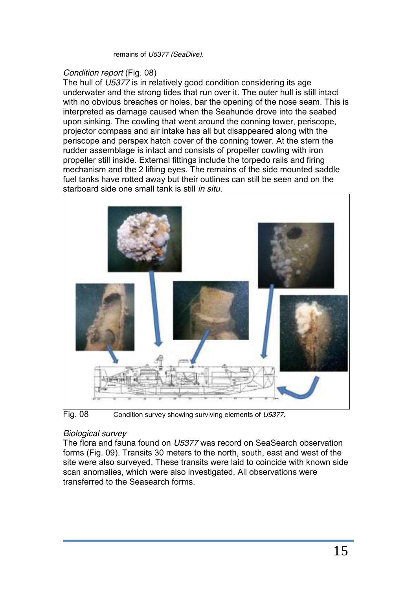#### remains of *U5377 (SeaDive)*.

#### *Condition report* (Fig. 08)

The hull of *U5377* is in relatively good condition considering its age underwater and the strong tides that run over it. The outer hull is still intact with no obvious breaches or holes, bar the opening of the nose seam. This is interpreted as damage caused when the Seahunde drove into the seabed upon sinking. The cowling that went around the conning tower, periscope, projector compass and air intake has all but disappeared along with the periscope and perspex hatch cover of the conning tower. At the stern the rudder assemblage is intact and consists of propeller cowling with iron propeller still inside. External fittings include the torpedo rails and firing mechanism and the 2 lifting eyes. The remains of the side mounted saddle fuel tanks have rotted away but their outlines can still be seen and on the starboard side one small tank is still *in situ*.



Fig. 08 Condition survey showing surviving elements of *U5377*.

#### *Biological survey*

The flora and fauna found on *U5377* was record on SeaSearch observation forms (Fig. 09). Transits 30 meters to the north, south, east and west of the site were also surveyed. These transits were laid to coincide with known side scan anomalies, which were also investigated. All observations were transferred to the Seasearch forms.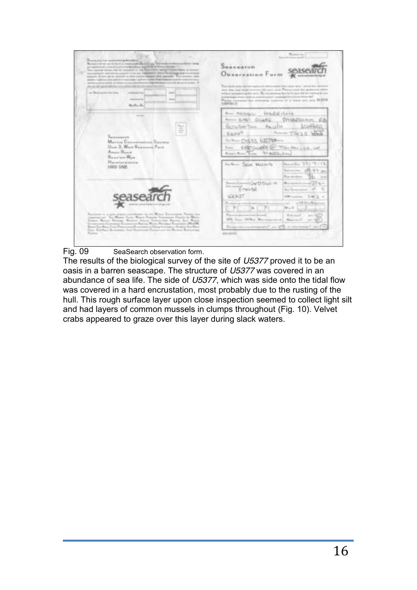| Facent artistics contentmining three doors<br>have not to see that the continue the fifting for each to the fact that the<br>the residence of the previous control and a single profit to the products.<br>ha dente trescito la condidat de la Contable estilicitate della disconne<br>excessed www.communication interest into hospital agreements<br>a service. If you can be also not a state parties between plans presents. This harmers, and<br>president and how seems a superior of the market statistics would allow interesting<br>Motives a long titled at this except and distributions dependently to a distribution of the | Roma 4-ing<br>the manager of 1<br>Seassarch<br>Observation Form                                                                                                                                                                                                                                                                                                                                                                         |  |
|------------------------------------------------------------------------------------------------------------------------------------------------------------------------------------------------------------------------------------------------------------------------------------------------------------------------------------------------------------------------------------------------------------------------------------------------------------------------------------------------------------------------------------------------------------------------------------------------------------------------------------------|-----------------------------------------------------------------------------------------------------------------------------------------------------------------------------------------------------------------------------------------------------------------------------------------------------------------------------------------------------------------------------------------------------------------------------------------|--|
| allo del reliminazione della de-<br>to Terrorate are tra-<br>solicents to:<br><b>COLOR</b>                                                                                                                                                                                                                                                                                                                                                                                                                                                                                                                                               | The door data technical country of collective editor from stay " select data distance of<br>also the analysis trained bits and away Please may be present open.<br>polacer management after no co. The statements as interested data with the submitted more<br>homestage strates dealers a basic country to participate to convert from the CCCC.<br>Please associate like interesting assessor of a worst star and BUDOR<br>LAPPERLY. |  |
| ¥<br>Texassion<br>Marina Canagenation Sacrary<br>Unite 3. Water Businessex Park<br>Anna Hand<br>Reserved West                                                                                                                                                                                                                                                                                                                                                                                                                                                                                                                            | to Milder Wallfilms<br>ANNO EAST GLARE THREEWAY<br><b>SCIUTANTIAN PAIDIN</b><br>Particular T. Will T.<br><b>TAHRT</b><br><b>WALLOWER GETAILLY</b><br>THE CATGLERY TILL ANNULLY<br>Rosen Rose, MARTINER                                                                                                                                                                                                                                  |  |
| Flama kan a sinoa.<br>HRIF IABL                                                                                                                                                                                                                                                                                                                                                                                                                                                                                                                                                                                                          | Rosselling 27:179 / 13<br>for firm Salue MAGrefa<br>Basical and service<br>To cancer                                                                                                                                                                                                                                                                                                                                                    |  |
| easea<br>promise a skall kanapite in calling and                                                                                                                                                                                                                                                                                                                                                                                                                                                                                                                                                                                         | Welchman at any of 27 Q in<br>resolution of Char Channel His<br>E meis byl<br><b>Auchangement</b><br><b>VERST</b><br>100 potential (1987), in-<br>- 15 Ko Rose<br><b><i><u><i><u>Antaniment</u></i></u></i></b><br>Wall.                                                                                                                                                                                                                |  |
| Reserves in a gent primer, rationization up are Minor Convertised. Toward now.<br>standing of the Master Laws: Mann English, Educational Equation of Mini-<br>Some Rayon Hottag, Romery Steel Summarie Agrica, Say Notes<br>come and Contribute Trainminist Record Wales Boston Commerce (Real PR<br>has had as has been tracted common plans to many botto for bar-<br>ica. Sorban Benitian, but Honorowi Steine and the Monte Britanline.                                                                                                                                                                                              | <b>Mark Angel</b><br>Fisherman and<br>SPE Team UT New Westminstown and<br>Bondard and the<br>Britainers correspond to 157 a received in Co.<br><b>SETS ARTIST</b>                                                                                                                                                                                                                                                                       |  |

Fig. 09 SeaSearch observation form.

The results of the biological survey of the site of *U5377* proved it to be an oasis in a barren seascape. The structure of *U5377* was covered in an abundance of sea life. The side of *U5377*, which was side onto the tidal flow was covered in a hard encrustation, most probably due to the rusting of the hull. This rough surface layer upon close inspection seemed to collect light silt and had layers of common mussels in clumps throughout (Fig. 10). Velvet crabs appeared to graze over this layer during slack waters.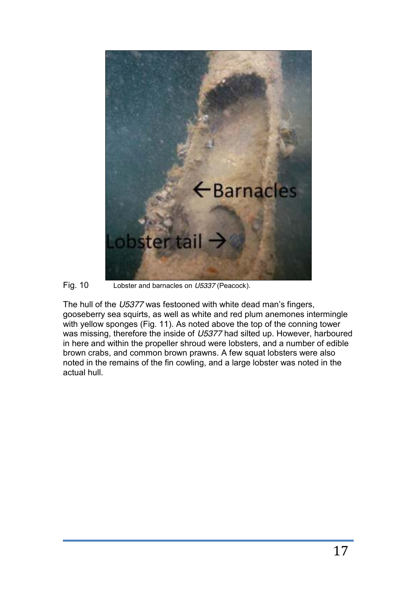

Fig. 10 Lobster and barnacles on *U5337* (Peacock).

The hull of the *U5377* was festooned with white dead man's fingers, gooseberry sea squirts, as well as white and red plum anemones intermingle with yellow sponges (Fig. 11). As noted above the top of the conning tower was missing, therefore the inside of *U5377* had silted up. However, harboured in here and within the propeller shroud were lobsters, and a number of edible brown crabs, and common brown prawns. A few squat lobsters were also noted in the remains of the fin cowling, and a large lobster was noted in the actual hull.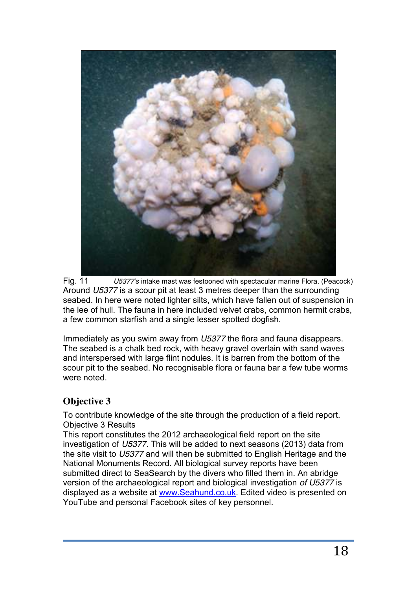

Fig. 11 *U5377*'s intake mast was festooned with spectacular marine Flora. (Peacock) Around *U5377* is a scour pit at least 3 metres deeper than the surrounding seabed. In here were noted lighter silts, which have fallen out of suspension in the lee of hull. The fauna in here included velvet crabs, common hermit crabs, a few common starfish and a single lesser spotted dogfish.

Immediately as you swim away from *U5377* the flora and fauna disappears. The seabed is a chalk bed rock, with heavy gravel overlain with sand waves and interspersed with large flint nodules. It is barren from the bottom of the scour pit to the seabed. No recognisable flora or fauna bar a few tube worms were noted.

#### **Objective 3**

To contribute knowledge of the site through the production of a field report. Objective 3 Results

This report constitutes the 2012 archaeological field report on the site investigation of *U5377*. This will be added to next seasons (2013) data from the site visit to *U5377* and will then be submitted to English Heritage and the National Monuments Record. All biological survey reports have been submitted direct to SeaSearch by the divers who filled them in. An abridge version of the archaeological report and biological investigation *of U5377* is displayed as a website at www.Seahund.co.uk. Edited video is presented on YouTube and personal Facebook sites of key personnel.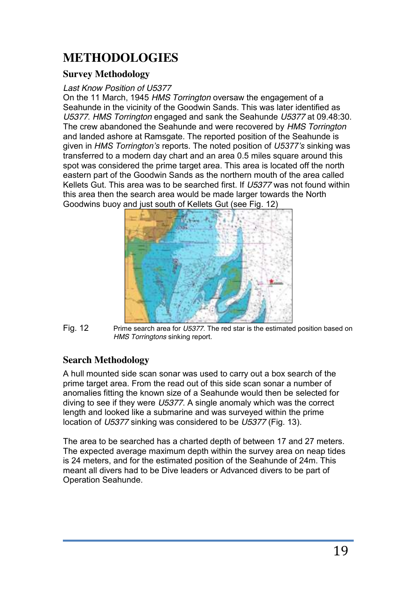### **METHODOLOGIES**

#### **Survey Methodology**

#### *Last Know Position of U5377*

On the 11 March, 1945 *HMS Torrington* oversaw the engagement of a Seahunde in the vicinity of the Goodwin Sands. This was later identified as *U5377*. *HMS Torrington* engaged and sank the Seahunde *U5377* at 09.48:30. The crew abandoned the Seahunde and were recovered by *HMS Torrington* and landed ashore at Ramsgate. The reported position of the Seahunde is given in HMS Torrington's reports. The noted position of U5377's sinking was transferred to a modern day chart and an area 0.5 miles square around this spot was considered the prime target area. This area is located off the north eastern part of the Goodwin Sands as the northern mouth of the area called Kellets Gut. This area was to be searched first. If *U5377* was not found within this area then the search area would be made larger towards the North Goodwins buoy and just south of Kellets Gut (see Fig. 12)





#### **Search Methodology**

A hull mounted side scan sonar was used to carry out a box search of the prime target area. From the read out of this side scan sonar a number of anomalies fitting the known size of a Seahunde would then be selected for diving to see if they were *U5377*. A single anomaly which was the correct length and looked like a submarine and was surveyed within the prime location of *U5377* sinking was considered to be *U5377* (Fig. 13).

The area to be searched has a charted depth of between 17 and 27 meters. The expected average maximum depth within the survey area on neap tides is 24 meters, and for the estimated position of the Seahunde of 24m. This meant all divers had to be Dive leaders or Advanced divers to be part of Operation Seahunde.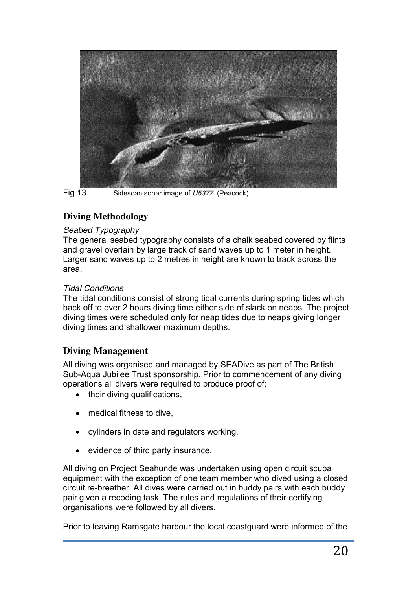

Fig 13 Sidescan sonar image of *U5377*. (Peacock)

#### **Diving Methodology**

#### *Seabed Typography*

The general seabed typography consists of a chalk seabed covered by flints and gravel overlain by large track of sand waves up to 1 meter in height. Larger sand waves up to 2 metres in height are known to track across the area.

#### *Tidal Conditions*

The tidal conditions consist of strong tidal currents during spring tides which back off to over 2 hours diving time either side of slack on neaps. The project diving times were scheduled only for neap tides due to neaps giving longer diving times and shallower maximum depths.

#### **Diving Management**

All diving was organised and managed by SEADive as part of The British Sub-Aqua Jubilee Trust sponsorship. Prior to commencement of any diving operations all divers were required to produce proof of;

- $\bullet$  their diving qualifications,
- medical fitness to dive,
- cylinders in date and regulators working,
- evidence of third party insurance.

All diving on Project Seahunde was undertaken using open circuit scuba equipment with the exception of one team member who dived using a closed circuit re-breather. All dives were carried out in buddy pairs with each buddy pair given a recoding task. The rules and regulations of their certifying organisations were followed by all divers.

Prior to leaving Ramsgate harbour the local coastguard were informed of the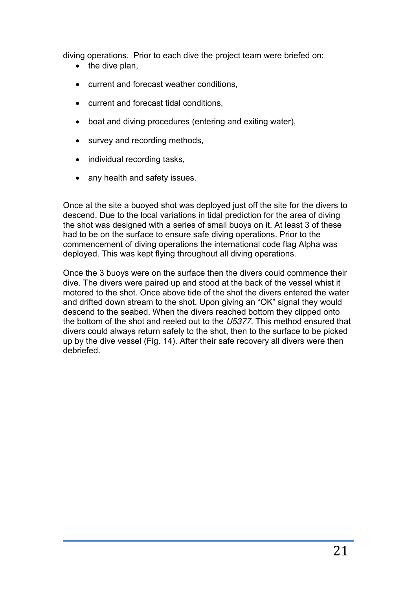diving operations. Prior to each dive the project team were briefed on:

- $\bullet$  the dive plan,
- current and forecast weather conditions,
- current and forecast tidal conditions,
- boat and diving procedures (entering and exiting water).
- survey and recording methods,
- individual recording tasks,
- any health and safety issues.

Once at the site a buoyed shot was deployed just off the site for the divers to descend. Due to the local variations in tidal prediction for the area of diving the shot was designed with a series of small buoys on it. At least 3 of these had to be on the surface to ensure safe diving operations. Prior to the commencement of diving operations the international code flag Alpha was deployed. This was kept flying throughout all diving operations.

Once the 3 buoys were on the surface then the divers could commence their dive. The divers were paired up and stood at the back of the vessel whist it motored to the shot. Once above tide of the shot the divers entered the water and drifted down stream to the shot. Upon giving an "OK" signal they would descend to the seabed. When the divers reached bottom they clipped onto the bottom of the shot and reeled out to the *U5377*. This method ensured that divers could always return safely to the shot, then to the surface to be picked up by the dive vessel (Fig. 14). After their safe recovery all divers were then debriefed.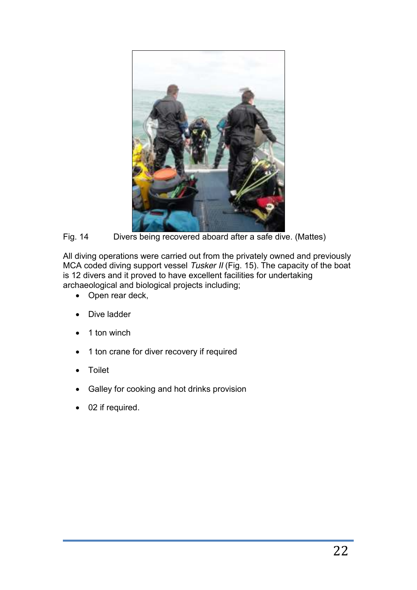

Fig. 14 Divers being recovered aboard after a safe dive. (Mattes)

All diving operations were carried out from the privately owned and previously MCA coded diving support vessel *Tusker II* (Fig. 15). The capacity of the boat is 12 divers and it proved to have excellent facilities for undertaking archaeological and biological projects including;

- $\bullet$  Open rear deck,
- Dive ladder
- 1 ton winch
- 1 ton crane for diver recovery if required
- **Toilet**
- Galley for cooking and hot drinks provision
- 02 if required.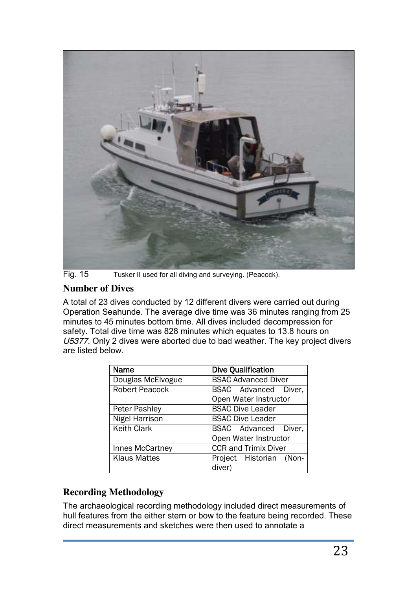

Fig. 15 Tusker II used for all diving and surveying. (Peacock).

#### **Number of Dives**

A total of 23 dives conducted by 12 different divers were carried out during Operation Seahunde. The average dive time was 36 minutes ranging from 25 minutes to 45 minutes bottom time. All dives included decompression for safety. Total dive time was 828 minutes which equates to 13.8 hours on *U5377*. Only 2 dives were aborted due to bad weather. The key project divers are listed below.

| <b>Name</b>           | <b>Dive Qualification</b>   |  |  |
|-----------------------|-----------------------------|--|--|
| Douglas McElvogue     | <b>BSAC Advanced Diver</b>  |  |  |
| <b>Robert Peacock</b> | BSAC Advanced Diver,        |  |  |
|                       | Open Water Instructor       |  |  |
| <b>Peter Pashley</b>  | <b>BSAC Dive Leader</b>     |  |  |
| <b>Nigel Harrison</b> | <b>BSAC Dive Leader</b>     |  |  |
| <b>Keith Clark</b>    | BSAC Advanced Diver,        |  |  |
|                       | Open Water Instructor       |  |  |
| Innes McCartney       | <b>CCR</b> and Trimix Diver |  |  |
| <b>Klaus Mattes</b>   | Project Historian (Non-     |  |  |
|                       | diver)                      |  |  |

#### **Recording Methodology**

The archaeological recording methodology included direct measurements of hull features from the either stern or bow to the feature being recorded. These direct measurements and sketches were then used to annotate a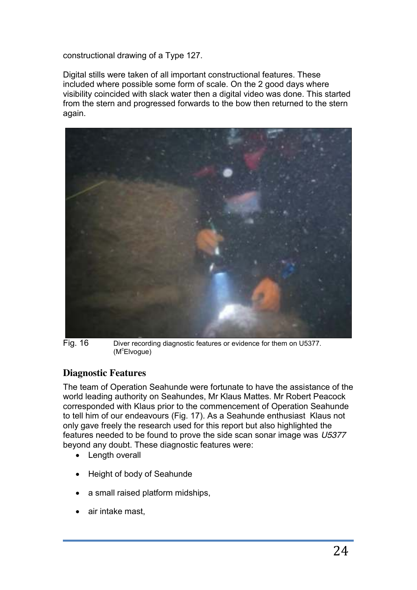constructional drawing of a Type 127.

Digital stills were taken of all important constructional features. These included where possible some form of scale. On the 2 good days where visibility coincided with slack water then a digital video was done. This started from the stern and progressed forwards to the bow then returned to the stern again.



Fig. 16 Diver recording diagnostic features or evidence for them on U5377. (M<sup>c</sup>Elvogue)

#### **Diagnostic Features**

The team of Operation Seahunde were fortunate to have the assistance of the world leading authority on Seahundes, Mr Klaus Mattes. Mr Robert Peacock corresponded with Klaus prior to the commencement of Operation Seahunde to tell him of our endeavours (Fig. 17). As a Seahunde enthusiast Klaus not only gave freely the research used for this report but also highlighted the features needed to be found to prove the side scan sonar image was *U5377* beyond any doubt. These diagnostic features were:

- $\bullet$  Length overall
- Height of body of Seahunde
- a small raised platform midships,
- $\bullet$  air intake mast.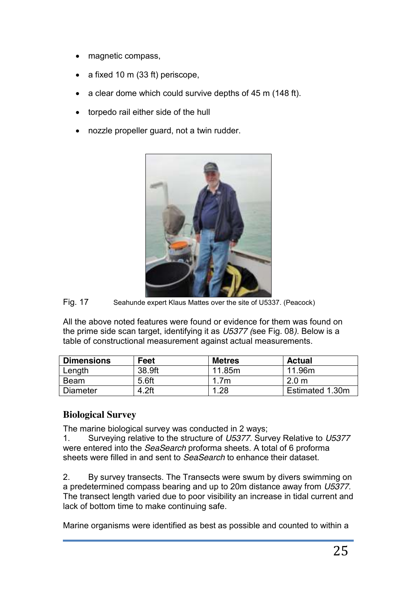- magnetic compass,
- a fixed 10 m (33 ft) periscope,
- a clear dome which could survive depths of 45 m (148 ft).
- torpedo rail either side of the hull
- nozzle propeller guard, not a twin rudder.



Fig. 17 Seahunde expert Klaus Mattes over the site of U5337. (Peacock)

All the above noted features were found or evidence for them was found on the prime side scan target, identifying it as *U5377 (*see Fig. 08*)*. Below is a table of constructional measurement against actual measurements.

| <b>Dimensions</b> | Feet   | <b>Metres</b>    | <b>Actual</b>    |
|-------------------|--------|------------------|------------------|
| Length            | 38.9ft | 11.85m           | 11.96m           |
| Beam              | 5.6ft  | 1.7 <sub>m</sub> | 2.0 <sub>m</sub> |
| Diameter          | 4.2ft  | 1.28             | Estimated 1.30m  |

#### **Biological Survey**

The marine biological survey was conducted in 2 ways;

1. Surveying relative to the structure of *U5377*. Survey Relative to *U5377* were entered into the *SeaSearch* proforma sheets. A total of 6 proforma sheets were filled in and sent to *SeaSearch* to enhance their dataset.

2. By survey transects. The Transects were swum by divers swimming on a predetermined compass bearing and up to 20m distance away from *U5377*. The transect length varied due to poor visibility an increase in tidal current and lack of bottom time to make continuing safe.

Marine organisms were identified as best as possible and counted to within a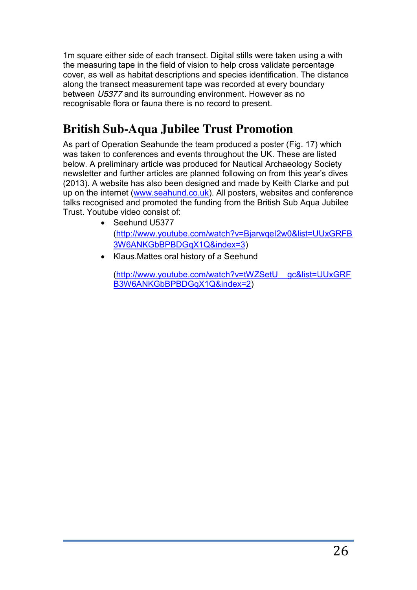1m square either side of each transect. Digital stills were taken using a with the measuring tape in the field of vision to help cross validate percentage cover, as well as habitat descriptions and species identification. The distance along the transect measurement tape was recorded at every boundary between *U5377* and its surrounding environment. However as no recognisable flora or fauna there is no record to present.

### **British Sub-Aqua Jubilee Trust Promotion**

As part of Operation Seahunde the team produced a poster (Fig. 17) which was taken to conferences and events throughout the UK. These are listed below. A preliminary article was produced for Nautical Archaeology Society newsletter and further articles are planned following on from this year's dives (2013). A website has also been designed and made by Keith Clarke and put up on the internet (www.seahund.co.uk). All posters, websites and conference talks recognised and promoted the funding from the British Sub Aqua Jubilee Trust. Youtube video consist of:

- Seehund U5377 (http://www.youtube.com/watch?v=BjarwqeI2w0&list=UUxGRFB 3W6ANKGbBPBDGqX1Q&index=3)
- Klaus. Mattes oral history of a Seehund

(http://www.youtube.com/watch?v=tWZSetU\_\_gc&list=UUxGRF B3W6ANKGbBPBDGqX1Q&index=2)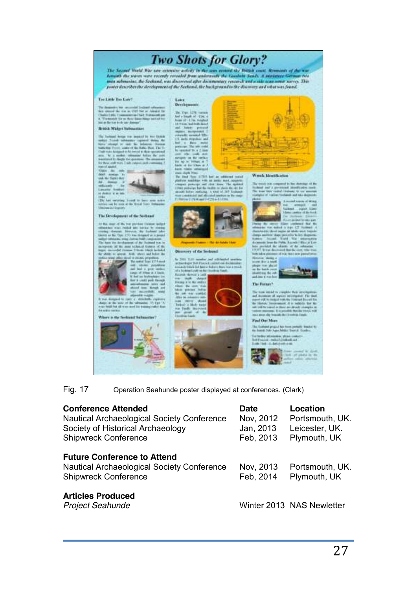

Fig. 17 Operation Seahunde poster displayed at conferences. (Clark)

| <b>Conference Attended</b>                                                                                             | <b>Date</b>            | Location                        |
|------------------------------------------------------------------------------------------------------------------------|------------------------|---------------------------------|
| <b>Nautical Archaeological Society Conference</b>                                                                      | Nov, 2012              | Portsmouth, UK.                 |
| Society of Historical Archaeology                                                                                      | Jan, 2013              | Leicester, UK.                  |
| <b>Shipwreck Conference</b>                                                                                            | Feb, 2013              | Plymouth, UK                    |
| <b>Future Conference to Attend</b><br><b>Nautical Archaeological Society Conference</b><br><b>Shipwreck Conference</b> | Nov, 2013<br>Feb, 2014 | Portsmouth, UK.<br>Plymouth, UK |

### **Articles Produced**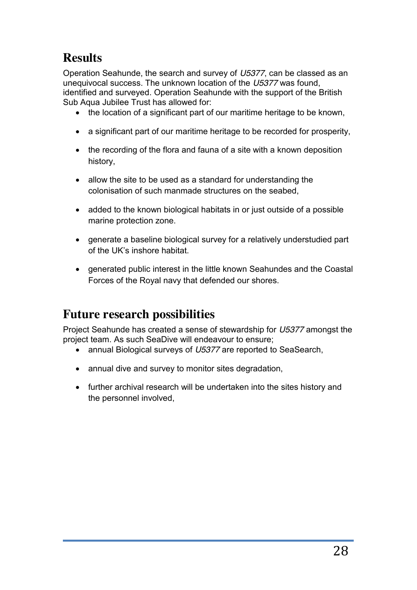### **Results**

Operation Seahunde, the search and survey of *U5377*, can be classed as an unequivocal success. The unknown location of the *U5377* was found, identified and surveyed. Operation Seahunde with the support of the British Sub Aqua Jubilee Trust has allowed for:

- the location of a significant part of our maritime heritage to be known,
- a significant part of our maritime heritage to be recorded for prosperity,
- $\bullet$  the recording of the flora and fauna of a site with a known deposition history,
- allow the site to be used as a standard for understanding the colonisation of such manmade structures on the seabed,
- added to the known biological habitats in or just outside of a possible marine protection zone.
- generate a baseline biological survey for a relatively understudied part of the UK's inshore habitat.
- generated public interest in the little known Seahundes and the Coastal Forces of the Royal navy that defended our shores.

### **Future research possibilities**

Project Seahunde has created a sense of stewardship for *U5377* amongst the project team. As such SeaDive will endeavour to ensure;

- x annual Biological surveys of *U5377* are reported to SeaSearch,
- annual dive and survey to monitor sites degradation,
- further archival research will be undertaken into the sites history and the personnel involved,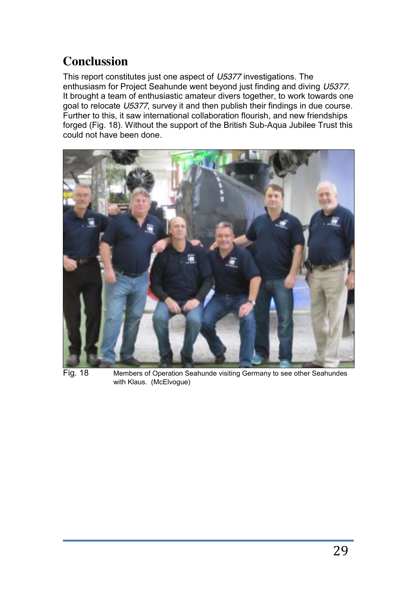### **Conclussion**

This report constitutes just one aspect of *U5377* investigations. The enthusiasm for Project Seahunde went beyond just finding and diving *U5377*. It brought a team of enthusiastic amateur divers together, to work towards one goal to relocate *U5377*, survey it and then publish their findings in due course. Further to this, it saw international collaboration flourish, and new friendships forged (Fig. 18). Without the support of the British Sub-Aqua Jubilee Trust this could not have been done.



Fig. 18 Members of Operation Seahunde visiting Germany to see other Seahundes with Klaus. (McElvogue)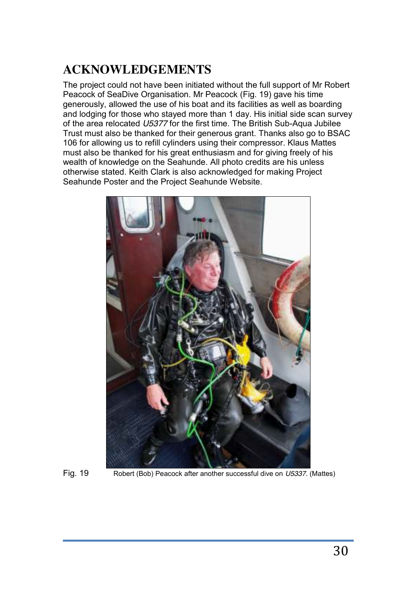### **ACKNOWLEDGEMENTS**

The project could not have been initiated without the full support of Mr Robert Peacock of SeaDive Organisation. Mr Peacock (Fig. 19) gave his time generously, allowed the use of his boat and its facilities as well as boarding and lodging for those who stayed more than 1 day. His initial side scan survey of the area relocated *U5377* for the first time. The British Sub-Aqua Jubilee Trust must also be thanked for their generous grant. Thanks also go to BSAC 106 for allowing us to refill cylinders using their compressor. Klaus Mattes must also be thanked for his great enthusiasm and for giving freely of his wealth of knowledge on the Seahunde. All photo credits are his unless otherwise stated. Keith Clark is also acknowledged for making Project Seahunde Poster and the Project Seahunde Website.



Fig. 19 Robert (Bob) Peacock after another successful dive on *U5337.* (Mattes)